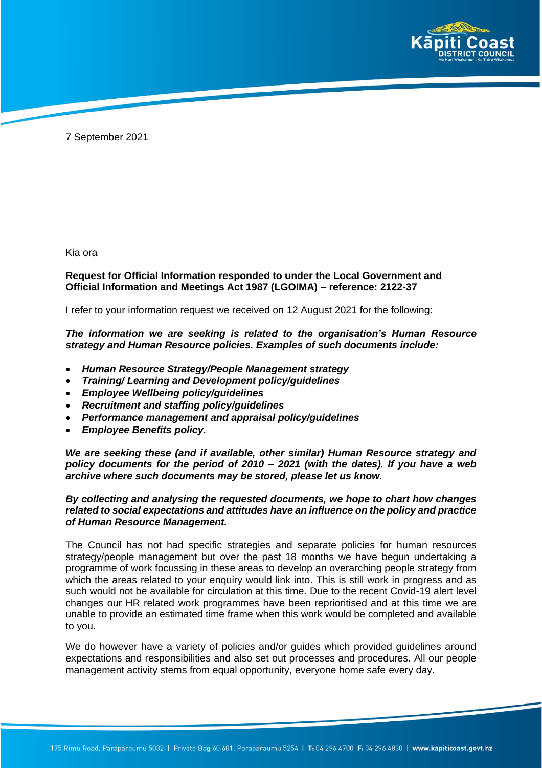

7 September 2021

Kia ora

## **Request for Official Information responded to under the Local Government and Official Information and Meetings Act 1987 (LGOIMA) – reference: 2122-37**

I refer to your information request we received on 12 August 2021 for the following:

*The information we are seeking is related to the organisation's Human Resource strategy and Human Resource policies. Examples of such documents include:* 

- *Human Resource Strategy/People Management strategy*
- *Training/ Learning and Development policy/guidelines*
- *Employee Wellbeing policy/guidelines*
- *Recruitment and staffing policy/guidelines*
- *Performance management and appraisal policy/guidelines*
- *Employee Benefits policy.*

*We are seeking these (and if available, other similar) Human Resource strategy and policy documents for the period of 2010 – 2021 (with the dates). If you have a web archive where such documents may be stored, please let us know.* 

## *By collecting and analysing the requested documents, we hope to chart how changes related to social expectations and attitudes have an influence on the policy and practice of Human Resource Management.*

The Council has not had specific strategies and separate policies for human resources strategy/people management but over the past 18 months we have begun undertaking a programme of work focussing in these areas to develop an overarching people strategy from which the areas related to your enquiry would link into. This is still work in progress and as such would not be available for circulation at this time. Due to the recent Covid-19 alert level changes our HR related work programmes have been reprioritised and at this time we are unable to provide an estimated time frame when this work would be completed and available to you.

We do however have a variety of policies and/or guides which provided guidelines around expectations and responsibilities and also set out processes and procedures. All our people management activity stems from equal opportunity, everyone home safe every day.